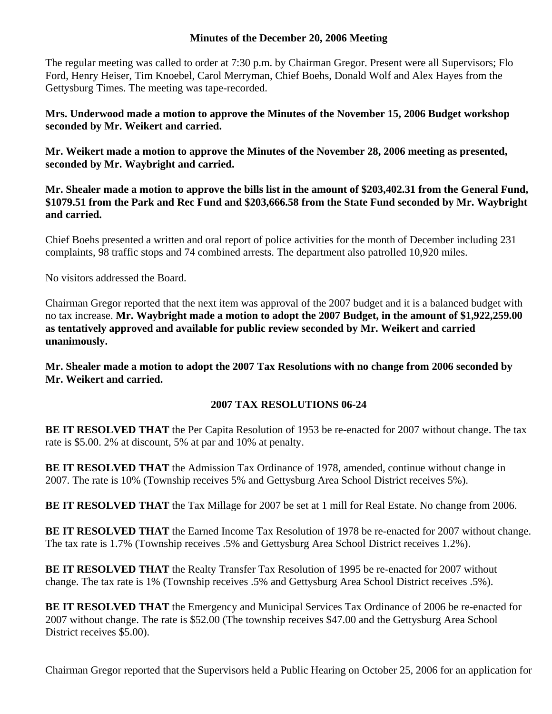## **Minutes of the December 20, 2006 Meeting**

The regular meeting was called to order at 7:30 p.m. by Chairman Gregor. Present were all Supervisors; Flo Ford, Henry Heiser, Tim Knoebel, Carol Merryman, Chief Boehs, Donald Wolf and Alex Hayes from the Gettysburg Times. The meeting was tape-recorded.

**Mrs. Underwood made a motion to approve the Minutes of the November 15, 2006 Budget workshop seconded by Mr. Weikert and carried.** 

**Mr. Weikert made a motion to approve the Minutes of the November 28, 2006 meeting as presented, seconded by Mr. Waybright and carried.** 

**Mr. Shealer made a motion to approve the bills list in the amount of \$203,402.31 from the General Fund, \$1079.51 from the Park and Rec Fund and \$203,666.58 from the State Fund seconded by Mr. Waybright and carried.** 

Chief Boehs presented a written and oral report of police activities for the month of December including 231 complaints, 98 traffic stops and 74 combined arrests. The department also patrolled 10,920 miles.

No visitors addressed the Board.

Chairman Gregor reported that the next item was approval of the 2007 budget and it is a balanced budget with no tax increase. **Mr. Waybright made a motion to adopt the 2007 Budget, in the amount of \$1,922,259.00 as tentatively approved and available for public review seconded by Mr. Weikert and carried unanimously.** 

**Mr. Shealer made a motion to adopt the 2007 Tax Resolutions with no change from 2006 seconded by Mr. Weikert and carried.** 

## **2007 TAX RESOLUTIONS 06-24**

**BE IT RESOLVED THAT** the Per Capita Resolution of 1953 be re-enacted for 2007 without change. The tax rate is \$5.00. 2% at discount, 5% at par and 10% at penalty.

**BE IT RESOLVED THAT** the Admission Tax Ordinance of 1978, amended, continue without change in 2007. The rate is 10% (Township receives 5% and Gettysburg Area School District receives 5%).

**BE IT RESOLVED THAT** the Tax Millage for 2007 be set at 1 mill for Real Estate. No change from 2006.

**BE IT RESOLVED THAT** the Earned Income Tax Resolution of 1978 be re-enacted for 2007 without change. The tax rate is 1.7% (Township receives .5% and Gettysburg Area School District receives 1.2%).

**BE IT RESOLVED THAT** the Realty Transfer Tax Resolution of 1995 be re-enacted for 2007 without change. The tax rate is 1% (Township receives .5% and Gettysburg Area School District receives .5%).

**BE IT RESOLVED THAT** the Emergency and Municipal Services Tax Ordinance of 2006 be re-enacted for 2007 without change. The rate is \$52.00 (The township receives \$47.00 and the Gettysburg Area School District receives \$5.00).

Chairman Gregor reported that the Supervisors held a Public Hearing on October 25, 2006 for an application for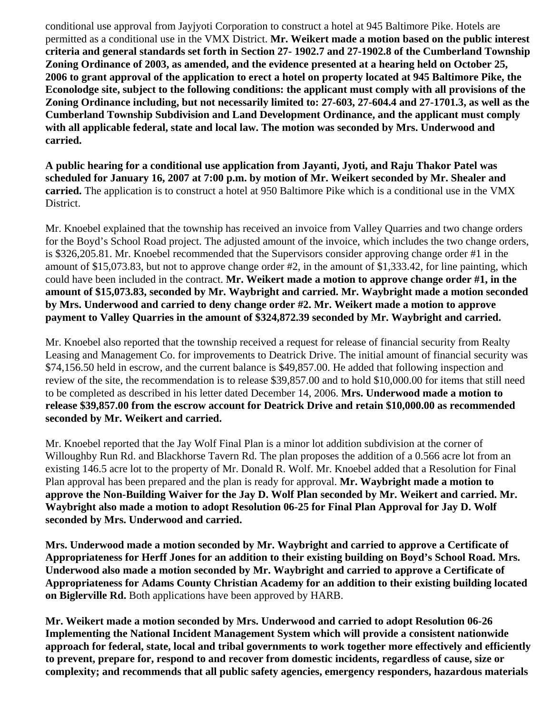conditional use approval from Jayjyoti Corporation to construct a hotel at 945 Baltimore Pike. Hotels are permitted as a conditional use in the VMX District. **Mr. Weikert made a motion based on the public interest criteria and general standards set forth in Section 27- 1902.7 and 27-1902.8 of the Cumberland Township Zoning Ordinance of 2003, as amended, and the evidence presented at a hearing held on October 25, 2006 to grant approval of the application to erect a hotel on property located at 945 Baltimore Pike, the Econolodge site, subject to the following conditions: the applicant must comply with all provisions of the Zoning Ordinance including, but not necessarily limited to: 27-603, 27-604.4 and 27-1701.3, as well as the Cumberland Township Subdivision and Land Development Ordinance, and the applicant must comply with all applicable federal, state and local law. The motion was seconded by Mrs. Underwood and carried.** 

**A public hearing for a conditional use application from Jayanti, Jyoti, and Raju Thakor Patel was scheduled for January 16, 2007 at 7:00 p.m. by motion of Mr. Weikert seconded by Mr. Shealer and carried.** The application is to construct a hotel at 950 Baltimore Pike which is a conditional use in the VMX District.

Mr. Knoebel explained that the township has received an invoice from Valley Quarries and two change orders for the Boyd's School Road project. The adjusted amount of the invoice, which includes the two change orders, is \$326,205.81. Mr. Knoebel recommended that the Supervisors consider approving change order #1 in the amount of \$15,073.83, but not to approve change order #2, in the amount of \$1,333.42, for line painting, which could have been included in the contract. **Mr. Weikert made a motion to approve change order #1, in the amount of \$15,073.83, seconded by Mr. Waybright and carried. Mr. Waybright made a motion seconded by Mrs. Underwood and carried to deny change order #2. Mr. Weikert made a motion to approve payment to Valley Quarries in the amount of \$324,872.39 seconded by Mr. Waybright and carried.** 

Mr. Knoebel also reported that the township received a request for release of financial security from Realty Leasing and Management Co. for improvements to Deatrick Drive. The initial amount of financial security was \$74,156.50 held in escrow, and the current balance is \$49,857.00. He added that following inspection and review of the site, the recommendation is to release \$39,857.00 and to hold \$10,000.00 for items that still need to be completed as described in his letter dated December 14, 2006. **Mrs. Underwood made a motion to release \$39,857.00 from the escrow account for Deatrick Drive and retain \$10,000.00 as recommended seconded by Mr. Weikert and carried.** 

Mr. Knoebel reported that the Jay Wolf Final Plan is a minor lot addition subdivision at the corner of Willoughby Run Rd. and Blackhorse Tavern Rd. The plan proposes the addition of a 0.566 acre lot from an existing 146.5 acre lot to the property of Mr. Donald R. Wolf. Mr. Knoebel added that a Resolution for Final Plan approval has been prepared and the plan is ready for approval. **Mr. Waybright made a motion to approve the Non-Building Waiver for the Jay D. Wolf Plan seconded by Mr. Weikert and carried. Mr. Waybright also made a motion to adopt Resolution 06-25 for Final Plan Approval for Jay D. Wolf seconded by Mrs. Underwood and carried.** 

**Mrs. Underwood made a motion seconded by Mr. Waybright and carried to approve a Certificate of Appropriateness for Herff Jones for an addition to their existing building on Boyd's School Road. Mrs. Underwood also made a motion seconded by Mr. Waybright and carried to approve a Certificate of Appropriateness for Adams County Christian Academy for an addition to their existing building located on Biglerville Rd.** Both applications have been approved by HARB.

**Mr. Weikert made a motion seconded by Mrs. Underwood and carried to adopt Resolution 06-26 Implementing the National Incident Management System which will provide a consistent nationwide approach for federal, state, local and tribal governments to work together more effectively and efficiently to prevent, prepare for, respond to and recover from domestic incidents, regardless of cause, size or complexity; and recommends that all public safety agencies, emergency responders, hazardous materials**